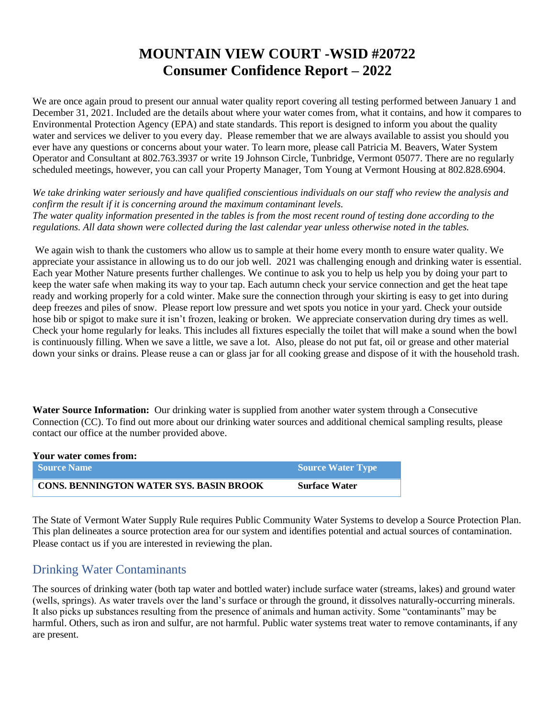## **MOUNTAIN VIEW COURT -WSID #20722 Consumer Confidence Report – 2022**

We are once again proud to present our annual water quality report covering all testing performed between January 1 and December 31, 2021. Included are the details about where your water comes from, what it contains, and how it compares to Environmental Protection Agency (EPA) and state standards. This report is designed to inform you about the quality water and services we deliver to you every day. Please remember that we are always available to assist you should you ever have any questions or concerns about your water. To learn more, please call Patricia M. Beavers, Water System Operator and Consultant at 802.763.3937 or write 19 Johnson Circle, Tunbridge, Vermont 05077. There are no regularly scheduled meetings, however, you can call your Property Manager, Tom Young at Vermont Housing at 802.828.6904.

*We take drinking water seriously and have qualified conscientious individuals on our staff who review the analysis and confirm the result if it is concerning around the maximum contaminant levels. The water quality information presented in the tables is from the most recent round of testing done according to the regulations. All data shown were collected during the last calendar year unless otherwise noted in the tables.* 

We again wish to thank the customers who allow us to sample at their home every month to ensure water quality. We appreciate your assistance in allowing us to do our job well. 2021 was challenging enough and drinking water is essential. Each year Mother Nature presents further challenges. We continue to ask you to help us help you by doing your part to keep the water safe when making its way to your tap. Each autumn check your service connection and get the heat tape ready and working properly for a cold winter. Make sure the connection through your skirting is easy to get into during deep freezes and piles of snow. Please report low pressure and wet spots you notice in your yard. Check your outside hose bib or spigot to make sure it isn't frozen, leaking or broken. We appreciate conservation during dry times as well. Check your home regularly for leaks. This includes all fixtures especially the toilet that will make a sound when the bowl is continuously filling. When we save a little, we save a lot. Also, please do not put fat, oil or grease and other material down your sinks or drains. Please reuse a can or glass jar for all cooking grease and dispose of it with the household trash.

**Water Source Information:**Our drinking water is supplied from another water system through a Consecutive Connection (CC). To find out more about our drinking water sources and additional chemical sampling results, please contact our office at the number provided above.

| Your water comes from:                         |                      |
|------------------------------------------------|----------------------|
| <b>Source Name</b>                             | Source Water Type    |
| <b>CONS. BENNINGTON WATER SYS. BASIN BROOK</b> | <b>Surface Water</b> |

The State of Vermont Water Supply Rule requires Public Community Water Systems to develop a Source Protection Plan. This plan delineates a source protection area for our system and identifies potential and actual sources of contamination. Please contact us if you are interested in reviewing the plan.

## Drinking Water Contaminants

The sources of drinking water (both tap water and bottled water) include surface water (streams, lakes) and ground water (wells, springs). As water travels over the land's surface or through the ground, it dissolves naturally-occurring minerals. It also picks up substances resulting from the presence of animals and human activity. Some "contaminants" may be harmful. Others, such as iron and sulfur, are not harmful. Public water systems treat water to remove contaminants, if any are present.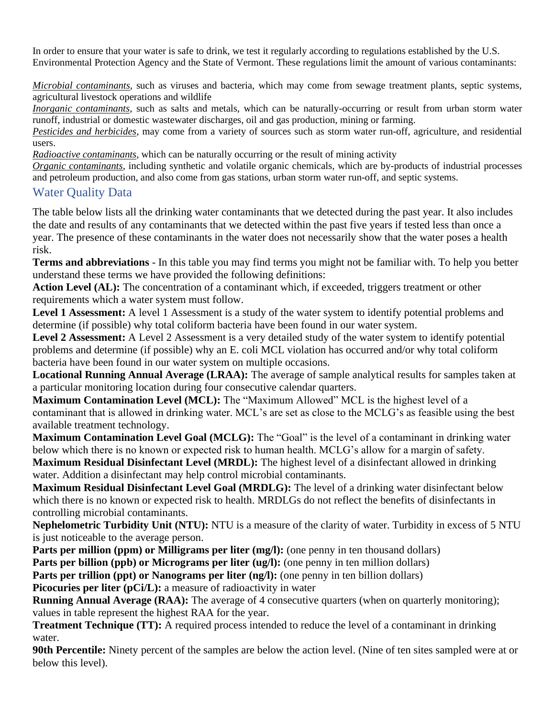In order to ensure that your water is safe to drink, we test it regularly according to regulations established by the U.S. Environmental Protection Agency and the State of Vermont. These regulations limit the amount of various contaminants:

*Microbial contaminants*, such as viruses and bacteria, which may come from sewage treatment plants, septic systems, agricultural livestock operations and wildlife

*Inorganic contaminants*, such as salts and metals, which can be naturally-occurring or result from urban storm water runoff, industrial or domestic wastewater discharges, oil and gas production, mining or farming.

*Pesticides and herbicides*, may come from a variety of sources such as storm water run-off, agriculture, and residential users.

*Radioactive contaminants*, which can be naturally occurring or the result of mining activity

*Organic contaminants*, including synthetic and volatile organic chemicals, which are by-products of industrial processes and petroleum production, and also come from gas stations, urban storm water run-off, and septic systems.

#### Water Quality Data

The table below lists all the drinking water contaminants that we detected during the past year. It also includes the date and results of any contaminants that we detected within the past five years if tested less than once a year. The presence of these contaminants in the water does not necessarily show that the water poses a health risk.

**Terms and abbreviations** - In this table you may find terms you might not be familiar with. To help you better understand these terms we have provided the following definitions:

**Action Level (AL):** The concentration of a contaminant which, if exceeded, triggers treatment or other requirements which a water system must follow.

**Level 1 Assessment:** A level 1 Assessment is a study of the water system to identify potential problems and determine (if possible) why total coliform bacteria have been found in our water system.

**Level 2 Assessment:** A Level 2 Assessment is a very detailed study of the water system to identify potential problems and determine (if possible) why an E. coli MCL violation has occurred and/or why total coliform bacteria have been found in our water system on multiple occasions.

**Locational Running Annual Average (LRAA):** The average of sample analytical results for samples taken at a particular monitoring location during four consecutive calendar quarters.

**Maximum Contamination Level (MCL):** The "Maximum Allowed" MCL is the highest level of a contaminant that is allowed in drinking water. MCL's are set as close to the MCLG's as feasible using the best available treatment technology.

**Maximum Contamination Level Goal (MCLG):** The "Goal" is the level of a contaminant in drinking water below which there is no known or expected risk to human health. MCLG's allow for a margin of safety.

**Maximum Residual Disinfectant Level (MRDL):** The highest level of a disinfectant allowed in drinking water. Addition a disinfectant may help control microbial contaminants.

**Maximum Residual Disinfectant Level Goal (MRDLG):** The level of a drinking water disinfectant below which there is no known or expected risk to health. MRDLGs do not reflect the benefits of disinfectants in controlling microbial contaminants.

**Nephelometric Turbidity Unit (NTU):** NTU is a measure of the clarity of water. Turbidity in excess of 5 NTU is just noticeable to the average person.

**Parts per million (ppm) or Milligrams per liter (mg/l):** (one penny in ten thousand dollars)

**Parts per billion (ppb) or Micrograms per liter (ug/l):** (one penny in ten million dollars)

**Parts per trillion (ppt) or Nanograms per liter (ng/l):** (one penny in ten billion dollars)

**Picocuries per liter (pCi/L):** a measure of radioactivity in water

**Running Annual Average (RAA):** The average of 4 consecutive quarters (when on quarterly monitoring); values in table represent the highest RAA for the year.

**Treatment Technique (TT):** A required process intended to reduce the level of a contaminant in drinking water.

**90th Percentile:** Ninety percent of the samples are below the action level. (Nine of ten sites sampled were at or below this level).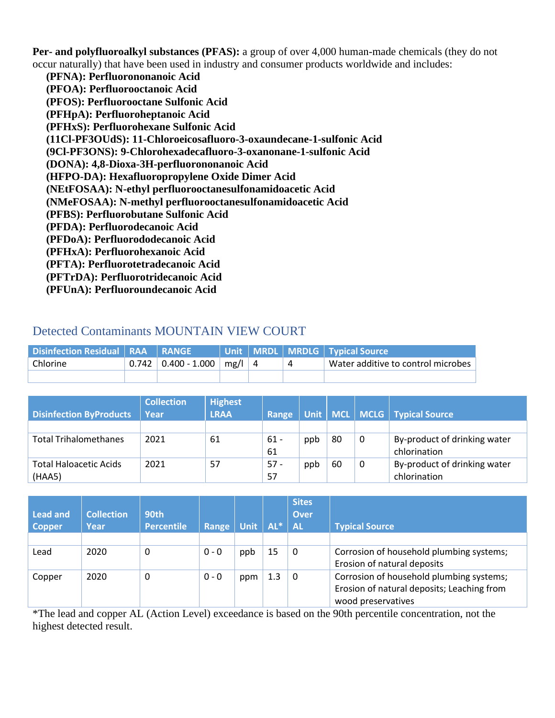**Per- and polyfluoroalkyl substances (PFAS):** a group of over 4,000 human-made chemicals (they do not occur naturally) that have been used in industry and consumer products worldwide and includes:

 **(PFNA): Perfluorononanoic Acid (PFOA): Perfluorooctanoic Acid (PFOS): Perfluorooctane Sulfonic Acid (PFHpA): Perfluoroheptanoic Acid (PFHxS): Perfluorohexane Sulfonic Acid (11Cl-PF3OUdS): 11-Chloroeicosafluoro-3-oxaundecane-1-sulfonic Acid (9Cl-PF3ONS): 9-Chlorohexadecafluoro-3-oxanonane-1-sulfonic Acid (DONA): 4,8-Dioxa-3H-perfluorononanoic Acid (HFPO-DA): Hexafluoropropylene Oxide Dimer Acid (NEtFOSAA): N-ethyl perfluorooctanesulfonamidoacetic Acid (NMeFOSAA): N-methyl perfluorooctanesulfonamidoacetic Acid (PFBS): Perfluorobutane Sulfonic Acid (PFDA): Perfluorodecanoic Acid (PFDoA): Perfluorododecanoic Acid (PFHxA): Perfluorohexanoic Acid (PFTA): Perfluorotetradecanoic Acid (PFTrDA): Perfluorotridecanoic Acid (PFUnA): Perfluoroundecanoic Acid**

## Detected Contaminants MOUNTAIN VIEW COURT

| <b>Disinfection Residual   RAA   RANGE \</b> |                         |          |  | Unit   MRDL   MRDLG   Typical Source |
|----------------------------------------------|-------------------------|----------|--|--------------------------------------|
| Chlorine                                     | $0.742$   0.400 - 1.000 | $mg/1$ 4 |  | Water additive to control microbes   |
|                                              |                         |          |  |                                      |

|                                | <b>Collection</b> | <b>Highest</b> |        |     |    |   |                                    |
|--------------------------------|-------------------|----------------|--------|-----|----|---|------------------------------------|
| <b>Disinfection ByProducts</b> | Year              | <b>LRAA</b>    | Range  |     |    |   | Unit   MCL   MCLG   Typical Source |
|                                |                   |                |        |     |    |   |                                    |
| <b>Total Trihalomethanes</b>   | 2021              | 61             | 61 -   | ppb | 80 | 0 | By-product of drinking water       |
|                                |                   |                | 61     |     |    |   | chlorination                       |
| <b>Total Haloacetic Acids</b>  | 2021              | 57             | $57 -$ | ppb | 60 | 0 | By-product of drinking water       |
| (HAA5)                         |                   |                | 57     |     |    |   | chlorination                       |

| <b>Lead and</b><br><b>Copper</b> | <b>Collection</b><br>Year | 90th<br><b>Percentile</b> | Range   | Unit | $AL^*$ | <b>Sites</b><br><b>Over</b><br><b>AL</b> | <b>Typical Source</b>                      |
|----------------------------------|---------------------------|---------------------------|---------|------|--------|------------------------------------------|--------------------------------------------|
|                                  |                           |                           |         |      |        |                                          |                                            |
| Lead                             | 2020                      | 0                         | $0 - 0$ | ppb  | 15     | 0                                        | Corrosion of household plumbing systems;   |
|                                  |                           |                           |         |      |        |                                          | Erosion of natural deposits                |
| Copper                           | 2020                      | 0                         | $0 - 0$ | ppm  | 1.3    | 0                                        | Corrosion of household plumbing systems;   |
|                                  |                           |                           |         |      |        |                                          | Erosion of natural deposits; Leaching from |
|                                  |                           |                           |         |      |        |                                          | wood preservatives                         |

\*The lead and copper AL (Action Level) exceedance is based on the 90th percentile concentration, not the highest detected result.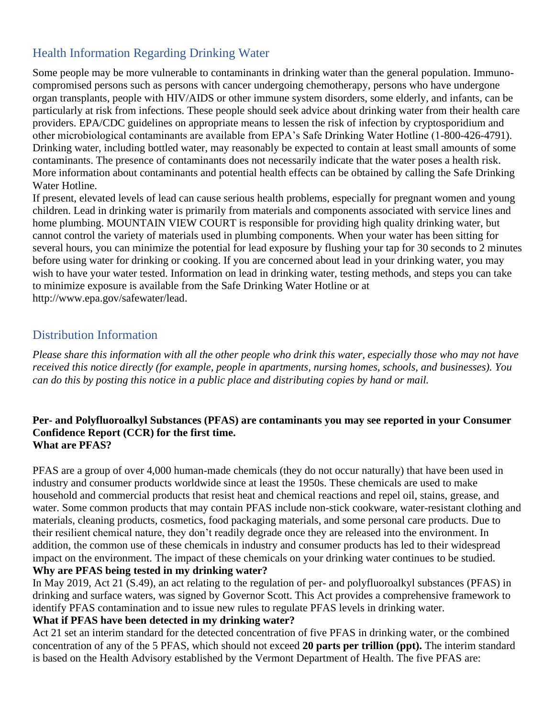## Health Information Regarding Drinking Water

Some people may be more vulnerable to contaminants in drinking water than the general population. Immunocompromised persons such as persons with cancer undergoing chemotherapy, persons who have undergone organ transplants, people with HIV/AIDS or other immune system disorders, some elderly, and infants, can be particularly at risk from infections. These people should seek advice about drinking water from their health care providers. EPA/CDC guidelines on appropriate means to lessen the risk of infection by cryptosporidium and other microbiological contaminants are available from EPA's Safe Drinking Water Hotline (1-800-426-4791). Drinking water, including bottled water, may reasonably be expected to contain at least small amounts of some contaminants. The presence of contaminants does not necessarily indicate that the water poses a health risk. More information about contaminants and potential health effects can be obtained by calling the Safe Drinking Water Hotline.

If present, elevated levels of lead can cause serious health problems, especially for pregnant women and young children. Lead in drinking water is primarily from materials and components associated with service lines and home plumbing. MOUNTAIN VIEW COURT is responsible for providing high quality drinking water, but cannot control the variety of materials used in plumbing components. When your water has been sitting for several hours, you can minimize the potential for lead exposure by flushing your tap for 30 seconds to 2 minutes before using water for drinking or cooking. If you are concerned about lead in your drinking water, you may wish to have your water tested. Information on lead in drinking water, testing methods, and steps you can take to minimize exposure is available from the Safe Drinking Water Hotline or at [http://www.epa.gov/safewater/lead.](http://www.epa.gov/safewater/lead)

### Distribution Information

*Please share this information with all the other people who drink this water, especially those who may not have received this notice directly (for example, people in apartments, nursing homes, schools, and businesses). You can do this by posting this notice in a public place and distributing copies by hand or mail.*

#### **Per- and Polyfluoroalkyl Substances (PFAS) are contaminants you may see reported in your Consumer Confidence Report (CCR) for the first time. What are PFAS?**

PFAS are a group of over 4,000 human-made chemicals (they do not occur naturally) that have been used in industry and consumer products worldwide since at least the 1950s. These chemicals are used to make household and commercial products that resist heat and chemical reactions and repel oil, stains, grease, and water. Some common products that may contain PFAS include non-stick cookware, water-resistant clothing and materials, cleaning products, cosmetics, food packaging materials, and some personal care products. Due to their resilient chemical nature, they don't readily degrade once they are released into the environment. In addition, the common use of these chemicals in industry and consumer products has led to their widespread impact on the environment. The impact of these chemicals on your drinking water continues to be studied. **Why are PFAS being tested in my drinking water?**

In May 2019, Act 21 (S.49), an act relating to the regulation of per- and polyfluoroalkyl substances (PFAS) in drinking and surface waters, was signed by Governor Scott. This Act provides a comprehensive framework to identify PFAS contamination and to issue new rules to regulate PFAS levels in drinking water.

#### **What if PFAS have been detected in my drinking water?**

Act 21 set an interim standard for the detected concentration of five PFAS in drinking water, or the combined concentration of any of the 5 PFAS, which should not exceed **20 parts per trillion (ppt).** The interim standard is based on the Health Advisory established by the Vermont Department of Health. The five PFAS are: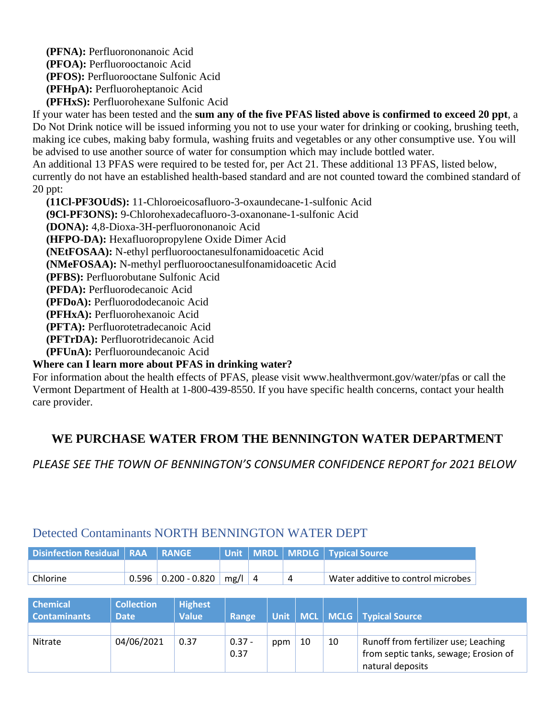**(PFNA):** Perfluorononanoic Acid **(PFOA):** Perfluorooctanoic Acid **(PFOS):** Perfluorooctane Sulfonic Acid **(PFHpA):** Perfluoroheptanoic Acid **(PFHxS):** Perfluorohexane Sulfonic Acid

If your water has been tested and the **sum any of the five PFAS listed above is confirmed to exceed 20 ppt**, a Do Not Drink notice will be issued informing you not to use your water for drinking or cooking, brushing teeth, making ice cubes, making baby formula, washing fruits and vegetables or any other consumptive use. You will be advised to use another source of water for consumption which may include bottled water.

An additional 13 PFAS were required to be tested for, per Act 21. These additional 13 PFAS, listed below, currently do not have an established health-based standard and are not counted toward the combined standard of 20 ppt:

 **(11Cl-PF3OUdS):** 11-Chloroeicosafluoro-3-oxaundecane-1-sulfonic Acid **(9Cl-PF3ONS):** 9-Chlorohexadecafluoro-3-oxanonane-1-sulfonic Acid **(DONA):** 4,8-Dioxa-3H-perfluorononanoic Acid **(HFPO-DA):** Hexafluoropropylene Oxide Dimer Acid **(NEtFOSAA):** N-ethyl perfluorooctanesulfonamidoacetic Acid **(NMeFOSAA):** N-methyl perfluorooctanesulfonamidoacetic Acid **(PFBS):** Perfluorobutane Sulfonic Acid **(PFDA):** Perfluorodecanoic Acid **(PFDoA):** Perfluorododecanoic Acid **(PFHxA):** Perfluorohexanoic Acid **(PFTA):** Perfluorotetradecanoic Acid **(PFTrDA):** Perfluorotridecanoic Acid **(PFUnA):** Perfluoroundecanoic Acid

#### **Where can I learn more about PFAS in drinking water?**

For information about the health effects of PFAS, please visit [www.healthvermont.gov/water/pfas](../../../Downloads/www.healthvermont.gov/water/pfas) or call the Vermont Department of Health at 1-800-439-8550. If you have specific health concerns, contact your health care provider.

## **WE PURCHASE WATER FROM THE BENNINGTON WATER DEPARTMENT**

*PLEASE SEE THE TOWN OF BENNINGTON'S CONSUMER CONFIDENCE REPORT for 2021 BELOW*

# Detected Contaminants NORTH BENNINGTON WATER DEPT **Disinfection Residual RAA RANGE Unit MRDL MRDLG Typical Source**

| i bishinggudhi ngshammi i nava i nahade i |            |                                    |  | $\frac{1}{2}$                      |
|-------------------------------------------|------------|------------------------------------|--|------------------------------------|
|                                           |            |                                    |  |                                    |
|                                           |            |                                    |  |                                    |
| Chlorine                                  |            | $0.596$   0.200 - 0.820   mg/l   4 |  | Water additive to control microbes |
|                                           |            |                                    |  |                                    |
|                                           |            |                                    |  |                                    |
| l Chamical                                | Collection | Highact                            |  |                                    |

| <b>Chemical</b>     | <b>Collection</b> | <b>Highest</b> |              |      |    |    |                                       |
|---------------------|-------------------|----------------|--------------|------|----|----|---------------------------------------|
| <b>Contaminants</b> | <b>Date</b>       | <b>Value</b>   | <b>Range</b> | Unit |    |    | MCL   MCLG   Typical Source           |
|                     |                   |                |              |      |    |    |                                       |
| Nitrate             | 04/06/2021        | 0.37           | $0.37 -$     | ppm  | 10 | 10 | Runoff from fertilizer use; Leaching  |
|                     |                   |                | 0.37         |      |    |    | from septic tanks, sewage; Erosion of |
|                     |                   |                |              |      |    |    | natural deposits                      |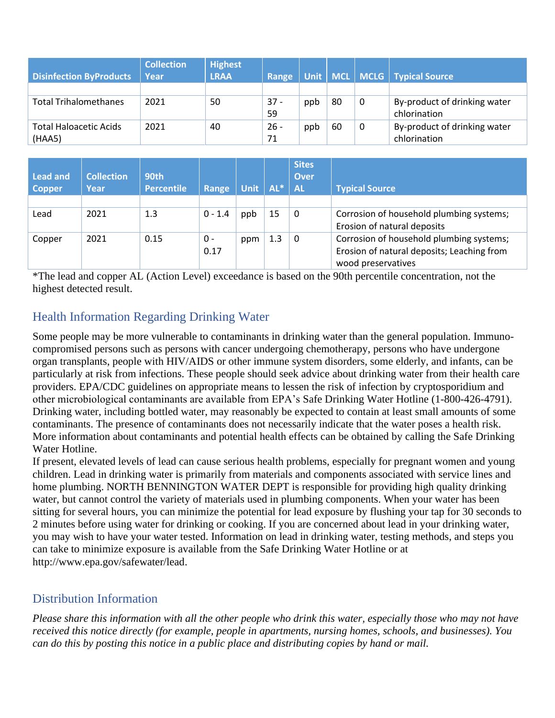| <b>Disinfection ByProducts</b>          | <b>Collection</b><br>Year | <b>Highest</b><br><b>LRAA</b> | Range        |     |    |   | Unit   MCL   MCLG   Typical Source           |
|-----------------------------------------|---------------------------|-------------------------------|--------------|-----|----|---|----------------------------------------------|
|                                         |                           |                               |              |     |    |   |                                              |
| <b>Total Trihalomethanes</b>            | 2021                      | 50                            | $37 -$<br>59 | ppb | 80 | 0 | By-product of drinking water<br>chlorination |
| <b>Total Haloacetic Acids</b><br>(HAA5) | 2021                      | 40                            | $26 -$<br>71 | ppb | 60 | 0 | By-product of drinking water<br>chlorination |

| Lead and<br><b>Copper</b> | <b>Collection</b><br>Year | 90th<br><b>Percentile</b> | Range       | <b>Unit</b> | $AL^*$ | <b>Sites</b><br><b>Over</b><br><b>AL</b> | <b>Typical Source</b>                                                                                        |
|---------------------------|---------------------------|---------------------------|-------------|-------------|--------|------------------------------------------|--------------------------------------------------------------------------------------------------------------|
|                           |                           |                           |             |             |        |                                          |                                                                                                              |
| Lead                      | 2021                      | 1.3                       | $0 - 1.4$   | ppb         | 15     | 0                                        | Corrosion of household plumbing systems;<br>Erosion of natural deposits                                      |
| Copper                    | 2021                      | 0.15                      | 0 -<br>0.17 | ppm         | 1.3    | $\Omega$                                 | Corrosion of household plumbing systems;<br>Erosion of natural deposits; Leaching from<br>wood preservatives |

\*The lead and copper AL (Action Level) exceedance is based on the 90th percentile concentration, not the highest detected result.

## Health Information Regarding Drinking Water

Some people may be more vulnerable to contaminants in drinking water than the general population. Immunocompromised persons such as persons with cancer undergoing chemotherapy, persons who have undergone organ transplants, people with HIV/AIDS or other immune system disorders, some elderly, and infants, can be particularly at risk from infections. These people should seek advice about drinking water from their health care providers. EPA/CDC guidelines on appropriate means to lessen the risk of infection by cryptosporidium and other microbiological contaminants are available from EPA's Safe Drinking Water Hotline (1-800-426-4791). Drinking water, including bottled water, may reasonably be expected to contain at least small amounts of some contaminants. The presence of contaminants does not necessarily indicate that the water poses a health risk. More information about contaminants and potential health effects can be obtained by calling the Safe Drinking Water Hotline.

If present, elevated levels of lead can cause serious health problems, especially for pregnant women and young children. Lead in drinking water is primarily from materials and components associated with service lines and home plumbing. NORTH BENNINGTON WATER DEPT is responsible for providing high quality drinking water, but cannot control the variety of materials used in plumbing components. When your water has been sitting for several hours, you can minimize the potential for lead exposure by flushing your tap for 30 seconds to 2 minutes before using water for drinking or cooking. If you are concerned about lead in your drinking water, you may wish to have your water tested. Information on lead in drinking water, testing methods, and steps you can take to minimize exposure is available from the Safe Drinking Water Hotline or at [http://www.epa.gov/safewater/lead.](http://www.epa.gov/safewater/lead)

## Distribution Information

*Please share this information with all the other people who drink this water, especially those who may not have received this notice directly (for example, people in apartments, nursing homes, schools, and businesses). You can do this by posting this notice in a public place and distributing copies by hand or mail.*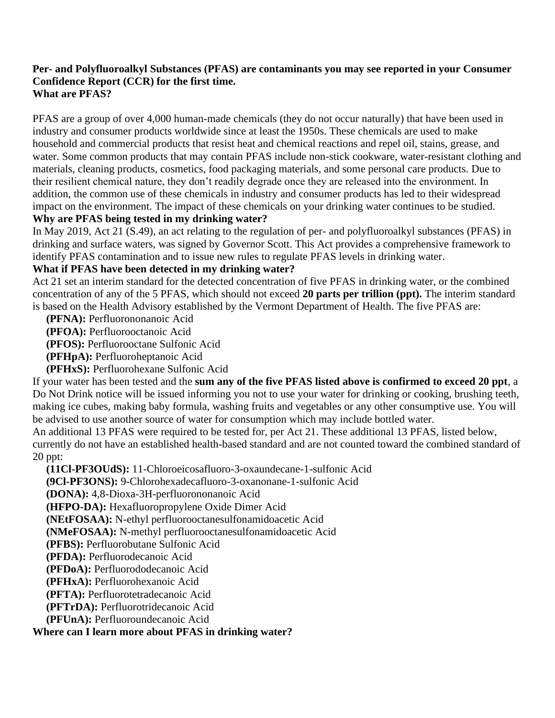#### **Per- and Polyfluoroalkyl Substances (PFAS) are contaminants you may see reported in your Consumer Confidence Report (CCR) for the first time. What are PFAS?**

PFAS are a group of over 4,000 human-made chemicals (they do not occur naturally) that have been used in industry and consumer products worldwide since at least the 1950s. These chemicals are used to make household and commercial products that resist heat and chemical reactions and repel oil, stains, grease, and water. Some common products that may contain PFAS include non-stick cookware, water-resistant clothing and materials, cleaning products, cosmetics, food packaging materials, and some personal care products. Due to their resilient chemical nature, they don't readily degrade once they are released into the environment. In addition, the common use of these chemicals in industry and consumer products has led to their widespread impact on the environment. The impact of these chemicals on your drinking water continues to be studied. **Why are PFAS being tested in my drinking water?**

# In May 2019, Act 21 (S.49), an act relating to the regulation of per- and polyfluoroalkyl substances (PFAS) in

drinking and surface waters, was signed by Governor Scott. This Act provides a comprehensive framework to identify PFAS contamination and to issue new rules to regulate PFAS levels in drinking water.

#### **What if PFAS have been detected in my drinking water?**

Act 21 set an interim standard for the detected concentration of five PFAS in drinking water, or the combined concentration of any of the 5 PFAS, which should not exceed **20 parts per trillion (ppt).** The interim standard is based on the Health Advisory established by the Vermont Department of Health. The five PFAS are:

**(PFNA):** Perfluorononanoic Acid

**(PFOA):** Perfluorooctanoic Acid

**(PFOS):** Perfluorooctane Sulfonic Acid

**(PFHpA):** Perfluoroheptanoic Acid

**(PFHxS):** Perfluorohexane Sulfonic Acid

If your water has been tested and the **sum any of the five PFAS listed above is confirmed to exceed 20 ppt**, a Do Not Drink notice will be issued informing you not to use your water for drinking or cooking, brushing teeth, making ice cubes, making baby formula, washing fruits and vegetables or any other consumptive use. You will be advised to use another source of water for consumption which may include bottled water.

An additional 13 PFAS were required to be tested for, per Act 21. These additional 13 PFAS, listed below, currently do not have an established health-based standard and are not counted toward the combined standard of 20 ppt:

**(11Cl-PF3OUdS):** 11-Chloroeicosafluoro-3-oxaundecane-1-sulfonic Acid

**(9Cl-PF3ONS):** 9-Chlorohexadecafluoro-3-oxanonane-1-sulfonic Acid

**(DONA):** 4,8-Dioxa-3H-perfluorononanoic Acid

**(HFPO-DA):** Hexafluoropropylene Oxide Dimer Acid

**(NEtFOSAA):** N-ethyl perfluorooctanesulfonamidoacetic Acid

**(NMeFOSAA):** N-methyl perfluorooctanesulfonamidoacetic Acid

**(PFBS):** Perfluorobutane Sulfonic Acid

**(PFDA):** Perfluorodecanoic Acid

**(PFDoA):** Perfluorododecanoic Acid

**(PFHxA):** Perfluorohexanoic Acid

**(PFTA):** Perfluorotetradecanoic Acid

**(PFTrDA):** Perfluorotridecanoic Acid

**(PFUnA):** Perfluoroundecanoic Acid

#### **Where can I learn more about PFAS in drinking water?**